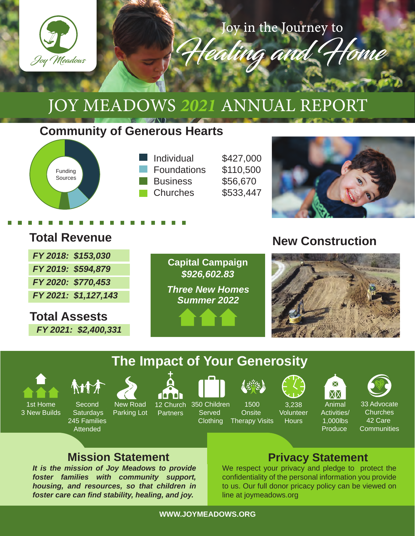

Joy in the Journey to

Healing and

# JOY MEADOWS *2021* ANNUAL REPORT

## **Community of Generous Hearts**



## **Total Revenue**

| FY 2018: \$153,030   |
|----------------------|
| FY 2019: \$594,879   |
| FY 2020: \$770,453   |
| FY 2021: \$1,127,143 |

**Total Assests** *FY 2021: \$2,400,331*



## **New Construction**



## **The Impact of Your Generosity**



1st Home 3 New Builds **ATTA** 

New Road Parking Lot **Second Saturdays** 245 Families **Attended** 



**Partners** 





1500 **Onsite** 

Clothing Therapy Visits



**Hours** 







Animal Activities/ 1,000lbs **Produce** 

33 Advocate **Churches** 42 Care **Communities** 

## **Mission Statement Privacy Statement**

*It is the mission of Joy Meadows to provide foster families with community support, housing, and resources, so that children in foster care can find stability, healing, and joy.* 

We respect your privacy and pledge to protect the confidentiality of the personal information you provide to us. Our full donor pricacy policy can be viewed on line at joymeadows.org